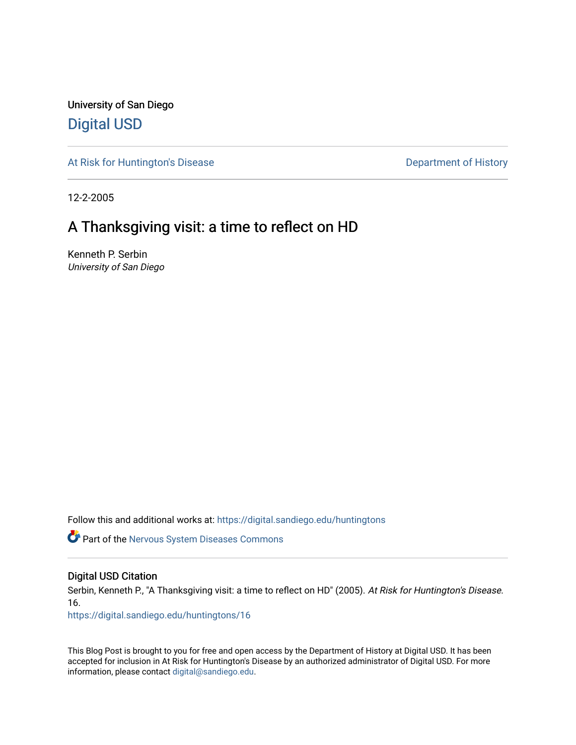University of San Diego [Digital USD](https://digital.sandiego.edu/)

[At Risk for Huntington's Disease](https://digital.sandiego.edu/huntingtons) **Department of History** Department of History

12-2-2005

## A Thanksgiving visit: a time to reflect on HD

Kenneth P. Serbin University of San Diego

Follow this and additional works at: [https://digital.sandiego.edu/huntingtons](https://digital.sandiego.edu/huntingtons?utm_source=digital.sandiego.edu%2Fhuntingtons%2F16&utm_medium=PDF&utm_campaign=PDFCoverPages)

**Part of the [Nervous System Diseases Commons](http://network.bepress.com/hgg/discipline/928?utm_source=digital.sandiego.edu%2Fhuntingtons%2F16&utm_medium=PDF&utm_campaign=PDFCoverPages)** 

#### Digital USD Citation

Serbin, Kenneth P., "A Thanksgiving visit: a time to reflect on HD" (2005). At Risk for Huntington's Disease. 16.

[https://digital.sandiego.edu/huntingtons/16](https://digital.sandiego.edu/huntingtons/16?utm_source=digital.sandiego.edu%2Fhuntingtons%2F16&utm_medium=PDF&utm_campaign=PDFCoverPages)

This Blog Post is brought to you for free and open access by the Department of History at Digital USD. It has been accepted for inclusion in At Risk for Huntington's Disease by an authorized administrator of Digital USD. For more information, please contact [digital@sandiego.edu.](mailto:digital@sandiego.edu)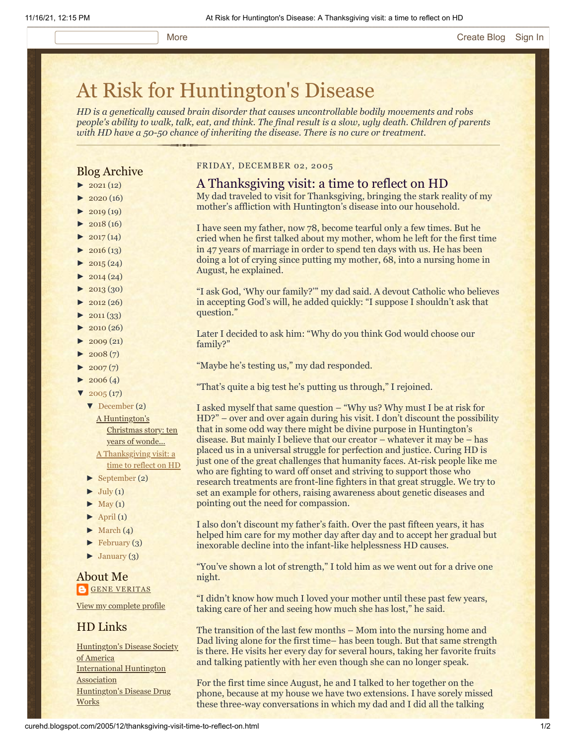# [At Risk for Huntington's Disease](http://curehd.blogspot.com/)

*HD is a genetically caused brain disorder that causes uncontrollable bodily movements and robs people's ability to walk, talk, eat, and think. The final result is a slow, ugly death. Children of parents with HD have a 50-50 chance of inheriting the disease. There is no cure or treatment.*

#### Blog Archive

- $\blacktriangleright$  [2021](http://curehd.blogspot.com/2021/) (12)
- $\blacktriangleright$  [2020](http://curehd.blogspot.com/2020/) (16)
- $\blacktriangleright$  [2019](http://curehd.blogspot.com/2019/) (19)
- $\blacktriangleright$  [2018](http://curehd.blogspot.com/2018/) (16)
- $\blacktriangleright$  [2017](http://curehd.blogspot.com/2017/) (14)
- $\blacktriangleright$  [2016](http://curehd.blogspot.com/2016/) (13)
- $\blacktriangleright$  [2015](http://curehd.blogspot.com/2015/) (24)
- $\blacktriangleright$  [2014](http://curehd.blogspot.com/2014/) (24)
- $\blacktriangleright$  [2013](http://curehd.blogspot.com/2013/) (30)
- $\blacktriangleright$  [2012](http://curehd.blogspot.com/2012/) (26)
- $\blacktriangleright$  [2011](http://curehd.blogspot.com/2011/) (33)
- $\blacktriangleright$  [2010](http://curehd.blogspot.com/2010/) (26)
- $\blacktriangleright$  [2009](http://curehd.blogspot.com/2009/) (21)
- $\blacktriangleright$  [2008](http://curehd.blogspot.com/2008/) $(7)$
- $\blacktriangleright$  [2007](http://curehd.blogspot.com/2007/) $(7)$
- $\blacktriangleright$  [2006](http://curehd.blogspot.com/2006/) (4)
- $\blacktriangledown$  [2005](http://curehd.blogspot.com/2005/) (17)
	- [▼](javascript:void(0)) [December](http://curehd.blogspot.com/2005/12/) (2)

A [Huntington's](http://curehd.blogspot.com/2005/12/huntingtons-christmas-story-ten-years.html) Christmas story: ten years of wonde... A [Thanksgiving](http://curehd.blogspot.com/2005/12/thanksgiving-visit-time-to-reflect-on.html) visit: a time to reflect on HD

- [►](javascript:void(0)) [September](http://curehd.blogspot.com/2005/09/) (2)
- 
- $\blacktriangleright$  [July](http://curehd.blogspot.com/2005/07/) (1)
- $\blacktriangleright$  [May](http://curehd.blogspot.com/2005/05/) (1)
- $\blacktriangleright$  [April](http://curehd.blogspot.com/2005/04/) (1)
- $\blacktriangleright$  [March](http://curehd.blogspot.com/2005/03/) (4)
- $\blacktriangleright$  [February](http://curehd.blogspot.com/2005/02/) (3)
- $\blacktriangleright$  [January](http://curehd.blogspot.com/2005/01/) (3)

#### About Me **GENE [VERITAS](https://www.blogger.com/profile/10911736205741688185)**

View my [complete](https://www.blogger.com/profile/10911736205741688185) profile

#### HD Links

[Huntington's](http://www.hdsa.org/) Disease Society of America [International](http://www.huntington-assoc.com/) Huntington **Association** [Huntington's](http://hddrugworks.org/) Disease Drug **Works** 

#### FRIDAY, DECEMBER 02, 2005

#### A Thanksgiving visit: a time to reflect on HD My dad traveled to visit for Thanksgiving, bringing the stark reality of my

mother's affliction with Huntington's disease into our household.

I have seen my father, now 78, become tearful only a few times. But he cried when he first talked about my mother, whom he left for the first time in 47 years of marriage in order to spend ten days with us. He has been doing a lot of crying since putting my mother, 68, into a nursing home in August, he explained.

"I ask God, 'Why our family?'" my dad said. A devout Catholic who believes in accepting God's will, he added quickly: "I suppose I shouldn't ask that question."

Later I decided to ask him: "Why do you think God would choose our family?"

- "Maybe he's testing us," my dad responded.
- "That's quite a big test he's putting us through," I rejoined.

I asked myself that same question – "Why us? Why must I be at risk for HD?" – over and over again during his visit. I don't discount the possibility that in some odd way there might be divine purpose in Huntington's disease. But mainly I believe that our creator – whatever it may be – has placed us in a universal struggle for perfection and justice. Curing HD is just one of the great challenges that humanity faces. At-risk people like me who are fighting to ward off onset and striving to support those who research treatments are front-line fighters in that great struggle. We try to set an example for others, raising awareness about genetic diseases and pointing out the need for compassion.

I also don't discount my father's faith. Over the past fifteen years, it has helped him care for my mother day after day and to accept her gradual but inexorable decline into the infant-like helplessness HD causes.

"You've shown a lot of strength," I told him as we went out for a drive one night.

"I didn't know how much I loved your mother until these past few years, taking care of her and seeing how much she has lost," he said.

The transition of the last few months – Mom into the nursing home and Dad living alone for the first time– has been tough. But that same strength is there. He visits her every day for several hours, taking her favorite fruits and talking patiently with her even though she can no longer speak.

For the first time since August, he and I talked to her together on the phone, because at my house we have two extensions. I have sorely missed these three-way conversations in which my dad and I did all the talking